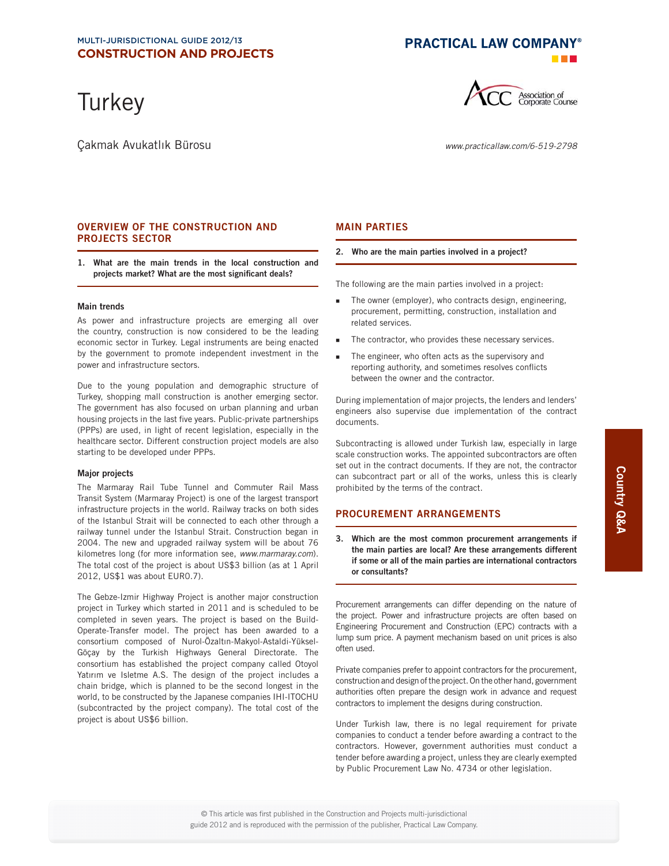**Turkey** 

Çakmak Avukatlık Bürosu www.practicallaw.com/6-519-2798

**PRACTICAL LAW COMPANY®** 



## **OVERVIEW OF THE CONSTRUCTION AND PROJECTS SECTOR**

**1. What are the main trends in the local construction and**  projects market? What are the most significant deals?

#### **Main trends**

As power and infrastructure projects are emerging all over the country, construction is now considered to be the leading economic sector in Turkey. Legal instruments are being enacted by the government to promote independent investment in the power and infrastructure sectors.

Due to the young population and demographic structure of Turkey, shopping mall construction is another emerging sector. The government has also focused on urban planning and urban housing projects in the last five years. Public-private partnerships (PPPs) are used, in light of recent legislation, especially in the healthcare sector. Different construction project models are also starting to be developed under PPPs.

## **Major projects**

The Marmaray Rail Tube Tunnel and Commuter Rail Mass Transit System (Marmaray Project) is one of the largest transport infrastructure projects in the world. Railway tracks on both sides of the Istanbul Strait will be connected to each other through a railway tunnel under the Istanbul Strait. Construction began in 2004. The new and upgraded railway system will be about 76 kilometres long (for more information see, www.marmaray.com). The total cost of the project is about US\$3 billion (as at 1 April 2012, US\$1 was about EUR0.7).

The Gebze-Izmir Highway Project is another major construction project in Turkey which started in 2011 and is scheduled to be completed in seven years. The project is based on the Build-Operate-Transfer model. The project has been awarded to a consortium composed of Nurol-Özaltın-Makyol-Astaldi-Yüksel-Göçay by the Turkish Highways General Directorate. The consortium has established the project company called Otoyol Yatırım ve Isletme A.S. The design of the project includes a chain bridge, which is planned to be the second longest in the world, to be constructed by the Japanese companies IHI-ITOCHU (subcontracted by the project company). The total cost of the project is about US\$6 billion.

## **MAIN PARTIES**

#### **2. Who are the main parties involved in a project?**

The following are the main parties involved in a project:

- The owner (employer), who contracts design, engineering, procurement, permitting, construction, installation and related services.
- The contractor, who provides these necessary services.
- The engineer, who often acts as the supervisory and reporting authority, and sometimes resolves conflicts between the owner and the contractor.

During implementation of major projects, the lenders and lenders' engineers also supervise due implementation of the contract documents.

Subcontracting is allowed under Turkish law, especially in large scale construction works. The appointed subcontractors are often set out in the contract documents. If they are not, the contractor can subcontract part or all of the works, unless this is clearly prohibited by the terms of the contract.

## **PROCUREMENT ARRANGEMENTS**

**3. Which are the most common procurement arrangements if the main parties are local? Are these arrangements different if some or all of the main parties are international contractors or consultants?** 

Procurement arrangements can differ depending on the nature of the project. Power and infrastructure projects are often based on Engineering Procurement and Construction (EPC) contracts with a lump sum price. A payment mechanism based on unit prices is also often used.

Private companies prefer to appoint contractors for the procurement, construction and design of the project. On the other hand, government authorities often prepare the design work in advance and request contractors to implement the designs during construction.

Under Turkish law, there is no legal requirement for private companies to conduct a tender before awarding a contract to the contractors. However, government authorities must conduct a tender before awarding a project, unless they are clearly exempted by Public Procurement Law No. 4734 or other legislation.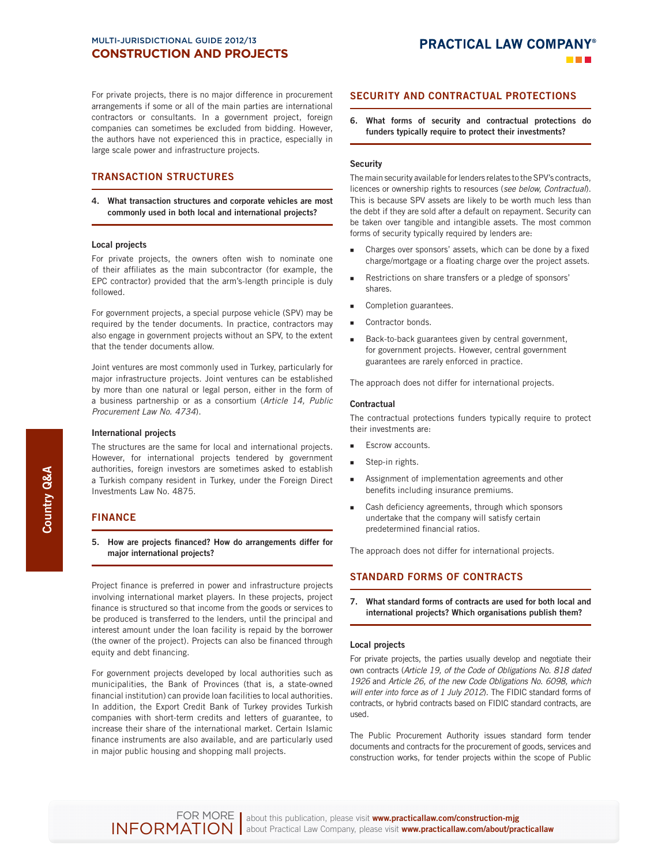For private projects, there is no major difference in procurement arrangements if some or all of the main parties are international contractors or consultants. In a government project, foreign companies can sometimes be excluded from bidding. However, the authors have not experienced this in practice, especially in large scale power and infrastructure projects.

## **TRANSACTION STRUCTURES**

**4. What transaction structures and corporate vehicles are most commonly used in both local and international projects?** 

#### **Local projects**

For private projects, the owners often wish to nominate one of their affiliates as the main subcontractor (for example, the EPC contractor) provided that the arm's-length principle is duly followed.

For government projects, a special purpose vehicle (SPV) may be required by the tender documents. In practice, contractors may also engage in government projects without an SPV, to the extent that the tender documents allow.

Joint ventures are most commonly used in Turkey, particularly for major infrastructure projects. Joint ventures can be established by more than one natural or legal person, either in the form of a business partnership or as a consortium (Article 14, Public Procurement Law No. 4734).

#### **International projects**

The structures are the same for local and international projects. However, for international projects tendered by government authorities, foreign investors are sometimes asked to establish a Turkish company resident in Turkey, under the Foreign Direct Investments Law No. 4875.

## **FINANCE**

**5.** How are projects financed? How do arrangements differ for **major international projects?** 

Project finance is preferred in power and infrastructure projects involving international market players. In these projects, project finance is structured so that income from the goods or services to be produced is transferred to the lenders, until the principal and interest amount under the loan facility is repaid by the borrower (the owner of the project). Projects can also be financed through equity and debt financing.

For government projects developed by local authorities such as municipalities, the Bank of Provinces (that is, a state-owned financial institution) can provide loan facilities to local authorities. In addition, the Export Credit Bank of Turkey provides Turkish companies with short-term credits and letters of guarantee, to increase their share of the international market. Certain Islamic finance instruments are also available, and are particularly used in major public housing and shopping mall projects.

## **SECURITY AND CONTRACTUAL PROTECTIONS**

**6. What forms of security and contractual protections do funders typically require to protect their investments?** 

## **Security**

The main security available for lenders relates to the SPV's contracts, licences or ownership rights to resources (see below, Contractual). This is because SPV assets are likely to be worth much less than the debt if they are sold after a default on repayment. Security can be taken over tangible and intangible assets. The most common forms of security typically required by lenders are:

- Charges over sponsors' assets, which can be done by a fixed charge/mortgage or a floating charge over the project assets.
- Restrictions on share transfers or a pledge of sponsors' shares.
- Completion guarantees.
- Contractor bonds.
- Back-to-back guarantees given by central government, for government projects. However, central government guarantees are rarely enforced in practice.

The approach does not differ for international projects.

#### **Contractual**

The contractual protections funders typically require to protect their investments are:

- Escrow accounts.
- Step-in rights.
- **Assignment of implementation agreements and other** benefits including insurance premiums.
- Cash deficiency agreements, through which sponsors undertake that the company will satisfy certain predetermined financial ratios.

The approach does not differ for international projects.

## **STANDARD FORMS OF CONTRACTS**

**7. What standard forms of contracts are used for both local and international projects? Which organisations publish them?** 

#### **Local projects**

For private projects, the parties usually develop and negotiate their own contracts (Article 19, of the Code of Obligations No. 818 dated 1926 and Article 26, of the new Code Obligations No. 6098, which will enter into force as of 1 July 2012). The FIDIC standard forms of contracts, or hybrid contracts based on FIDIC standard contracts, are used.

The Public Procurement Authority issues standard form tender documents and contracts for the procurement of goods, services and construction works, for tender projects within the scope of Public

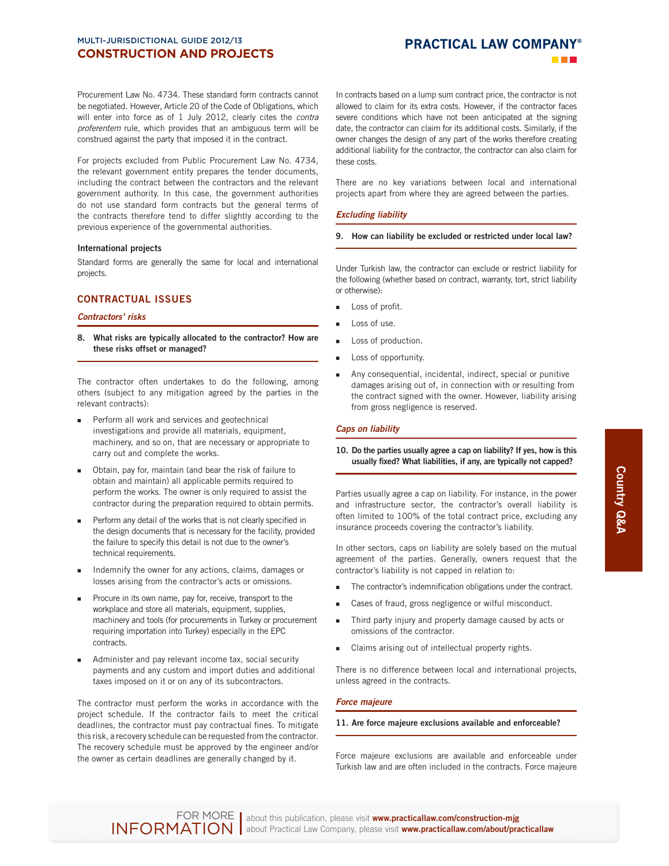## **PRACTICAL LAW COMPANY®**

Procurement Law No. 4734. These standard form contracts cannot be negotiated. However, Article 20 of the Code of Obligations, which will enter into force as of 1 July 2012, clearly cites the contra proferentem rule, which provides that an ambiguous term will be construed against the party that imposed it in the contract.

For projects excluded from Public Procurement Law No. 4734, the relevant government entity prepares the tender documents, including the contract between the contractors and the relevant government authority. In this case, the government authorities do not use standard form contracts but the general terms of the contracts therefore tend to differ slightly according to the previous experience of the governmental authorities.

## **International projects**

Standard forms are generally the same for local and international projects.

## **CONTRACTUAL ISSUES**

## *Contractors' risks*

**8. What risks are typically allocated to the contractor? How are these risks offset or managed?** 

The contractor often undertakes to do the following, among others (subject to any mitigation agreed by the parties in the relevant contracts):

- Perform all work and services and geotechnical investigations and provide all materials, equipment, machinery, and so on, that are necessary or appropriate to carry out and complete the works.
- Obtain, pay for, maintain (and bear the risk of failure to obtain and maintain) all applicable permits required to perform the works. The owner is only required to assist the contractor during the preparation required to obtain permits.
- Perform any detail of the works that is not clearly specified in the design documents that is necessary for the facility, provided the failure to specify this detail is not due to the owner's technical requirements.
- Indemnify the owner for any actions, claims, damages or losses arising from the contractor's acts or omissions.
- Procure in its own name, pay for, receive, transport to the workplace and store all materials, equipment, supplies, machinery and tools (for procurements in Turkey or procurement requiring importation into Turkey) especially in the EPC contracts.
- Administer and pay relevant income tax, social security payments and any custom and import duties and additional taxes imposed on it or on any of its subcontractors.

The contractor must perform the works in accordance with the project schedule. If the contractor fails to meet the critical deadlines, the contractor must pay contractual fines. To mitigate this risk, a recovery schedule can be requested from the contractor. The recovery schedule must be approved by the engineer and/or the owner as certain deadlines are generally changed by it.

In contracts based on a lump sum contract price, the contractor is not allowed to claim for its extra costs. However, if the contractor faces severe conditions which have not been anticipated at the signing date, the contractor can claim for its additional costs. Similarly, if the owner changes the design of any part of the works therefore creating additional liability for the contractor, the contractor can also claim for these costs.

There are no key variations between local and international projects apart from where they are agreed between the parties.

## *Excluding liability*

## **9. How can liability be excluded or restricted under local law?**

Under Turkish law, the contractor can exclude or restrict liability for the following (whether based on contract, warranty, tort, strict liability or otherwise):

- Loss of profit.
- Loss of use.
- Loss of production.
- Loss of opportunity.
- Any consequential, incidental, indirect, special or punitive damages arising out of, in connection with or resulting from the contract signed with the owner. However, liability arising from gross negligence is reserved.

## *Caps on liability*

## **10. Do the parties usually agree a cap on liability? If yes, how is this**  usually fixed? What liabilities, if any, are typically not capped?

Parties usually agree a cap on liability. For instance, in the power and infrastructure sector, the contractor's overall liability is often limited to 100% of the total contract price, excluding any insurance proceeds covering the contractor's liability.

In other sectors, caps on liability are solely based on the mutual agreement of the parties. Generally, owners request that the contractor's liability is not capped in relation to:

- The contractor's indemnification obligations under the contract.
- Cases of fraud, gross negligence or wilful misconduct.
- Third party injury and property damage caused by acts or omissions of the contractor.
- Claims arising out of intellectual property rights.

There is no difference between local and international projects, unless agreed in the contracts.

## *Force majeure*

## **11. Are force majeure exclusions available and enforceable?**

Force majeure exclusions are available and enforceable under Turkish law and are often included in the contracts. Force majeure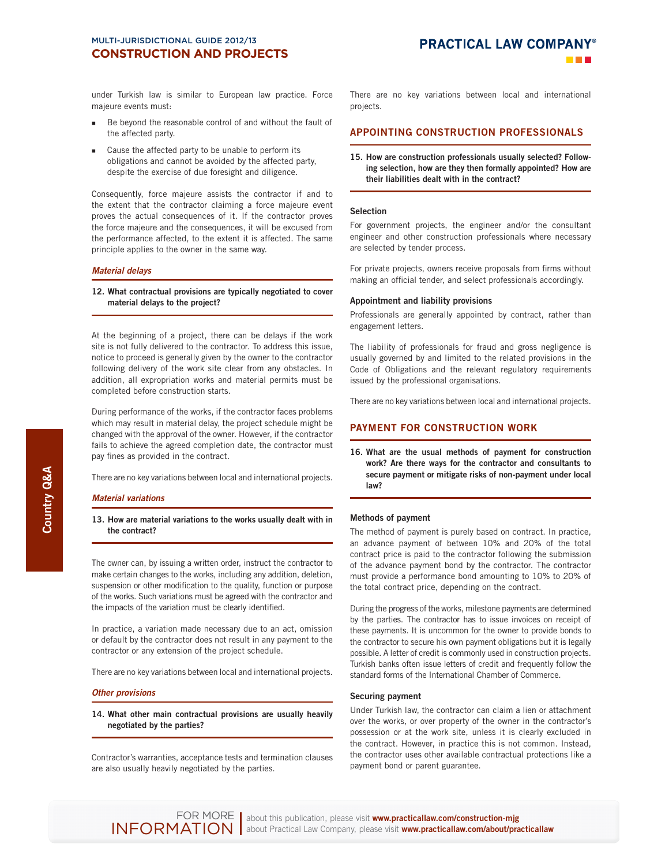under Turkish law is similar to European law practice. Force majeure events must:

- Be beyond the reasonable control of and without the fault of the affected party.
- Cause the affected party to be unable to perform its obligations and cannot be avoided by the affected party, despite the exercise of due foresight and diligence.

Consequently, force majeure assists the contractor if and to the extent that the contractor claiming a force majeure event proves the actual consequences of it. If the contractor proves the force majeure and the consequences, it will be excused from the performance affected, to the extent it is affected. The same principle applies to the owner in the same way.

## *Material delays*

#### **12. What contractual provisions are typically negotiated to cover material delays to the project?**

At the beginning of a project, there can be delays if the work site is not fully delivered to the contractor. To address this issue, notice to proceed is generally given by the owner to the contractor following delivery of the work site clear from any obstacles. In addition, all expropriation works and material permits must be completed before construction starts.

During performance of the works, if the contractor faces problems which may result in material delay, the project schedule might be changed with the approval of the owner. However, if the contractor fails to achieve the agreed completion date, the contractor must pay fines as provided in the contract.

There are no key variations between local and international projects.

#### *Material variations*

## **13. How are material variations to the works usually dealt with in the contract?**

The owner can, by issuing a written order, instruct the contractor to make certain changes to the works, including any addition, deletion, suspension or other modification to the quality, function or purpose of the works. Such variations must be agreed with the contractor and the impacts of the variation must be clearly identified.

In practice, a variation made necessary due to an act, omission or default by the contractor does not result in any payment to the contractor or any extension of the project schedule.

There are no key variations between local and international projects.

## *Other provisions*

## **14. What other main contractual provisions are usually heavily negotiated by the parties?**

Contractor's warranties, acceptance tests and termination clauses are also usually heavily negotiated by the parties.

There are no key variations between local and international projects.

## **APPOINTING CONSTRUCTION PROFESSIONALS**

**15. How are construction professionals usually selected? Following selection, how are they then formally appointed? How are their liabilities dealt with in the contract?** 

#### **Selection**

For government projects, the engineer and/or the consultant engineer and other construction professionals where necessary are selected by tender process.

For private projects, owners receive proposals from firms without making an official tender, and select professionals accordingly.

#### **Appointment and liability provisions**

Professionals are generally appointed by contract, rather than engagement letters.

The liability of professionals for fraud and gross negligence is usually governed by and limited to the related provisions in the Code of Obligations and the relevant regulatory requirements issued by the professional organisations.

There are no key variations between local and international projects.

## **PAYMENT FOR CONSTRUCTION WORK**

**16. What are the usual methods of payment for construction work? Are there ways for the contractor and consultants to secure payment or mitigate risks of non-payment under local law?** 

## **Methods of payment**

The method of payment is purely based on contract. In practice, an advance payment of between 10% and 20% of the total contract price is paid to the contractor following the submission of the advance payment bond by the contractor. The contractor must provide a performance bond amounting to 10% to 20% of the total contract price, depending on the contract.

During the progress of the works, milestone payments are determined by the parties. The contractor has to issue invoices on receipt of these payments. It is uncommon for the owner to provide bonds to the contractor to secure his own payment obligations but it is legally possible. A letter of credit is commonly used in construction projects. Turkish banks often issue letters of credit and frequently follow the standard forms of the International Chamber of Commerce.

#### **Securing payment**

Under Turkish law, the contractor can claim a lien or attachment over the works, or over property of the owner in the contractor's possession or at the work site, unless it is clearly excluded in the contract. However, in practice this is not common. Instead, the contractor uses other available contractual protections like a payment bond or parent guarantee.

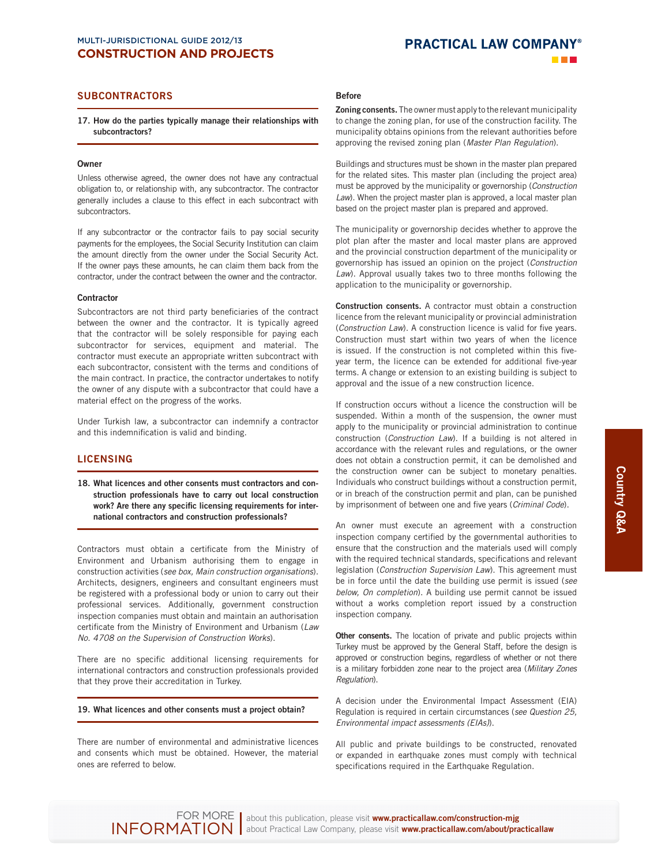# **PRACTICAL LAW COMPANY®**

## **SUBCONTRACTORS**

**17. How do the parties typically manage their relationships with subcontractors?** 

## **Owner**

Unless otherwise agreed, the owner does not have any contractual obligation to, or relationship with, any subcontractor. The contractor generally includes a clause to this effect in each subcontract with subcontractors.

If any subcontractor or the contractor fails to pay social security payments for the employees, the Social Security Institution can claim the amount directly from the owner under the Social Security Act. If the owner pays these amounts, he can claim them back from the contractor, under the contract between the owner and the contractor.

#### **Contractor**

Subcontractors are not third party beneficiaries of the contract between the owner and the contractor. It is typically agreed that the contractor will be solely responsible for paying each subcontractor for services, equipment and material. The contractor must execute an appropriate written subcontract with each subcontractor, consistent with the terms and conditions of the main contract. In practice, the contractor undertakes to notify the owner of any dispute with a subcontractor that could have a material effect on the progress of the works.

Under Turkish law, a subcontractor can indemnify a contractor and this indemnification is valid and binding.

## **LICENSING**

**18. What licences and other consents must contractors and construction professionals have to carry out local construction**  work? Are there any specific licensing requirements for inter**national contractors and construction professionals?** 

Contractors must obtain a certificate from the Ministry of Environment and Urbanism authorising them to engage in construction activities ( see box, Main construction organisations). Architects, designers, engineers and consultant engineers must be registered with a professional body or union to carry out their professional services. Additionally, government construction inspection companies must obtain and maintain an authorisation certificate from the Ministry of Environment and Urbanism (Law No. 4708 on the Supervision of Construction Works).

There are no specific additional licensing requirements for international contractors and construction professionals provided that they prove their accreditation in Turkey.

#### **19. What licences and other consents must a project obtain?**

There are number of environmental and administrative licences and consents which must be obtained. However, the material ones are referred to below.

## **Before**

**Zoning consents.** The owner must apply to the relevant municipality to change the zoning plan, for use of the construction facility. The municipality obtains opinions from the relevant authorities before approving the revised zoning plan (Master Plan Regulation).

Buildings and structures must be shown in the master plan prepared for the related sites. This master plan (including the project area) must be approved by the municipality or governorship (Construction Law). When the project master plan is approved, a local master plan based on the project master plan is prepared and approved.

The municipality or governorship decides whether to approve the plot plan after the master and local master plans are approved and the provincial construction department of the municipality or governorship has issued an opinion on the project ( Construction Law). Approval usually takes two to three months following the application to the municipality or governorship.

**Construction consents.** A contractor must obtain a construction licence from the relevant municipality or provincial administration (Construction Law). A construction licence is valid for five years. Construction must start within two years of when the licence is issued. If the construction is not completed within this fiveyear term, the licence can be extended for additional five-year terms. A change or extension to an existing building is subject to approval and the issue of a new construction licence.

If construction occurs without a licence the construction will be suspended. Within a month of the suspension, the owner must apply to the municipality or provincial administration to continue construction (Construction Law). If a building is not altered in accordance with the relevant rules and regulations, or the owner does not obtain a construction permit, it can be demolished and the construction owner can be subject to monetary penalties. Individuals who construct buildings without a construction permit, or in breach of the construction permit and plan, can be punished by imprisonment of between one and five years (Criminal Code).

An owner must execute an agreement with a construction inspection company certified by the governmental authorities to ensure that the construction and the materials used will comply with the required technical standards, specifications and relevant legislation (Construction Supervision Law). This agreement must be in force until the date the building use permit is issued (see below, On completion). A building use permit cannot be issued without a works completion report issued by a construction inspection company.

**Other consents.** The location of private and public projects within Turkey must be approved by the General Staff, before the design is approved or construction begins, regardless of whether or not there is a military forbidden zone near to the project area (Military Zones Regulation).

A decision under the Environmental Impact Assessment (EIA) Regulation is required in certain circumstances (see Question 25, Environmental impact assessments (EIAs)).

All public and private buildings to be constructed, renovated or expanded in earthquake zones must comply with technical specifications required in the Earthquake Regulation.

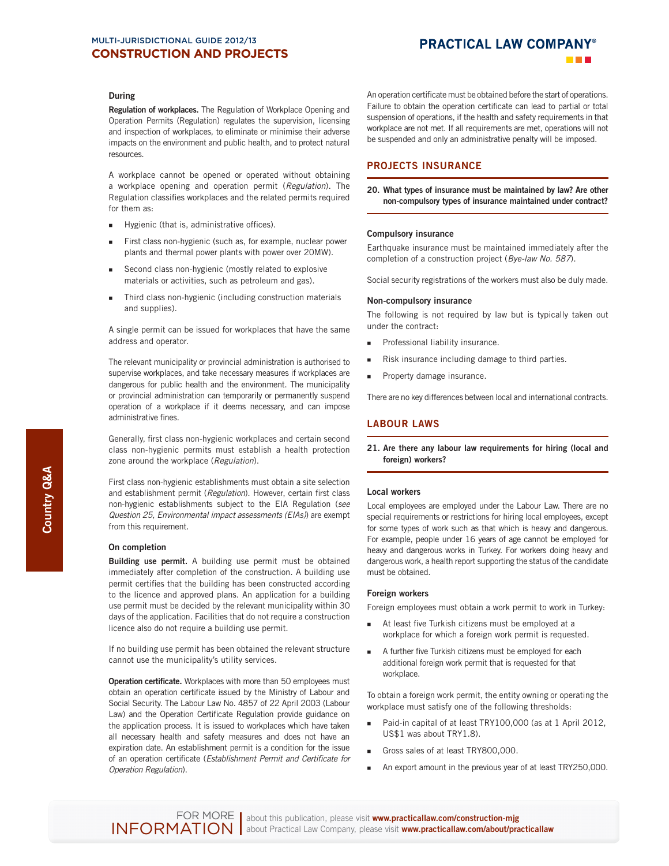# **PRACTICAL LAW COMPANY®**

## **During**

**Regulation of workplaces.** The Regulation of Workplace Opening and Operation Permits (Regulation) regulates the supervision, licensing and inspection of workplaces, to eliminate or minimise their adverse impacts on the environment and public health, and to protect natural resources.

A workplace cannot be opened or operated without obtaining a workplace opening and operation permit (Regulation). The Regulation classifies workplaces and the related permits required for them as:

- Hygienic (that is, administrative offices).
- First class non-hygienic (such as, for example, nuclear power plants and thermal power plants with power over 20MW).
- Second class non-hygienic (mostly related to explosive materials or activities, such as petroleum and gas).
- Third class non-hygienic (including construction materials and supplies).

A single permit can be issued for workplaces that have the same address and operator.

The relevant municipality or provincial administration is authorised to supervise workplaces, and take necessary measures if workplaces are dangerous for public health and the environment. The municipality or provincial administration can temporarily or permanently suspend operation of a workplace if it deems necessary, and can impose administrative fines.

Generally, first class non-hygienic workplaces and certain second class non-hygienic permits must establish a health protection zone around the workplace (Regulation).

First class non-hygienic establishments must obtain a site selection and establishment permit (Regulation). However, certain first class non-hygienic establishments subject to the EIA Regulation (see Question 25, Environmental impact assessments (EIAs)) are exempt from this requirement.

#### **On completion**

**Building use permit.** A building use permit must be obtained immediately after completion of the construction. A building use permit certifies that the building has been constructed according to the licence and approved plans. An application for a building use permit must be decided by the relevant municipality within 30 days of the application. Facilities that do not require a construction licence also do not require a building use permit.

If no building use permit has been obtained the relevant structure cannot use the municipality's utility services.

**Operation certificate.** Workplaces with more than 50 employees must obtain an operation certificate issued by the Ministry of Labour and Social Security. The Labour Law No. 4857 of 22 April 2003 (Labour Law) and the Operation Certificate Regulation provide guidance on the application process. It is issued to workplaces which have taken all necessary health and safety measures and does not have an expiration date. An establishment permit is a condition for the issue of an operation certificate (Establishment Permit and Certificate for Operation Regulation).

An operation certificate must be obtained before the start of operations. Failure to obtain the operation certificate can lead to partial or total suspension of operations, if the health and safety requirements in that workplace are not met. If all requirements are met, operations will not be suspended and only an administrative penalty will be imposed.

## **PROJECTS INSURANCE**

**20. What types of insurance must be maintained by law? Are other non-compulsory types of insurance maintained under contract?** 

## **Compulsory insurance**

Earthquake insurance must be maintained immediately after the completion of a construction project (Bye-law No. 587).

Social security registrations of the workers must also be duly made.

#### **Non-compulsory insurance**

The following is not required by law but is typically taken out under the contract:

- **Professional liability insurance.**
- Risk insurance including damage to third parties.
- **Property damage insurance.**

There are no key differences between local and international contracts.

## **LABOUR LAWS**

**21. Are there any labour law requirements for hiring (local and foreign) workers?** 

#### **Local workers**

Local employees are employed under the Labour Law. There are no special requirements or restrictions for hiring local employees, except for some types of work such as that which is heavy and dangerous. For example, people under 16 years of age cannot be employed for heavy and dangerous works in Turkey. For workers doing heavy and dangerous work, a health report supporting the status of the candidate must be obtained.

#### **Foreign workers**

Foreign employees must obtain a work permit to work in Turkey:

- **At least five Turkish citizens must be employed at a** workplace for which a foreign work permit is requested.
- A further five Turkish citizens must be employed for each additional foreign work permit that is requested for that workplace.

To obtain a foreign work permit, the entity owning or operating the workplace must satisfy one of the following thresholds:

- Paid-in capital of at least TRY100,000 (as at 1 April 2012, US\$1 was about TRY1.8).
- Gross sales of at least TRY800,000.
- An export amount in the previous year of at least TRY250,000.

INFORMATION about this publication, please visit **www.practicallaw.com/construction-mjg** about Practical Law Company, please visit **www.practicallaw.com/about/practicallaw** FOR MORE | about this publication, please visit www.practicallaw.com/construction-mig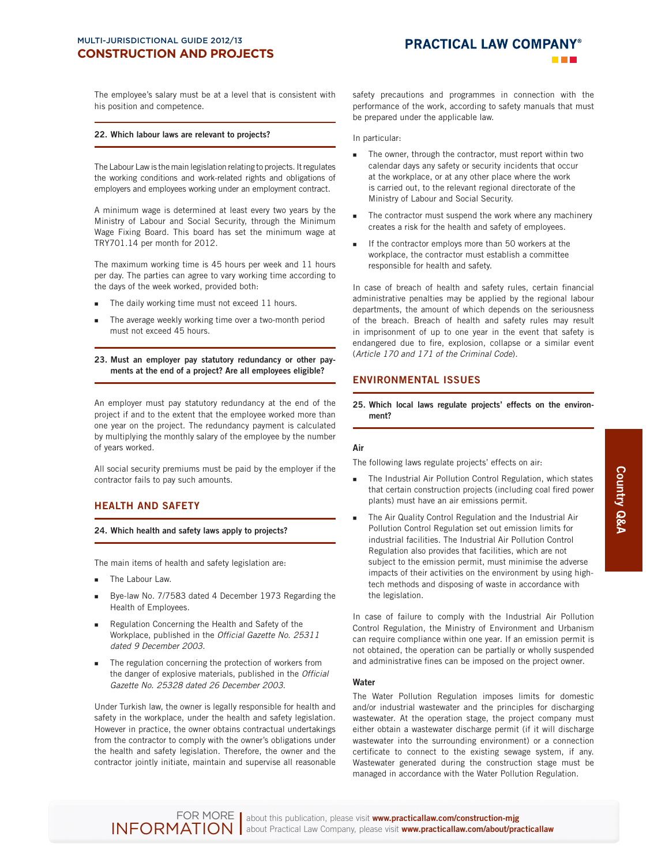The employee's salary must be at a level that is consistent with his position and competence.

#### **22. Which labour laws are relevant to projects?**

The Labour Law is the main legislation relating to projects. It regulates the working conditions and work-related rights and obligations of employers and employees working under an employment contract.

A minimum wage is determined at least every two years by the Ministry of Labour and Social Security, through the Minimum Wage Fixing Board. This board has set the minimum wage at TRY701.14 per month for 2012.

The maximum working time is 45 hours per week and 11 hours per day. The parties can agree to vary working time according to the days of the week worked, provided both:

- The daily working time must not exceed 11 hours.
- The average weekly working time over a two-month period must not exceed 45 hours.

**23. Must an employer pay statutory redundancy or other payments at the end of a project? Are all employees eligible?** 

An employer must pay statutory redundancy at the end of the project if and to the extent that the employee worked more than one year on the project. The redundancy payment is calculated by multiplying the monthly salary of the employee by the number of years worked.

All social security premiums must be paid by the employer if the contractor fails to pay such amounts.

## **HEALTH AND SAFETY**

**24. Which health and safety laws apply to projects?** 

The main items of health and safety legislation are:

- The Labour Law.
- Bye-law No. 7/7583 dated 4 December 1973 Regarding the Health of Employees.
- Regulation Concerning the Health and Safety of the Workplace, published in the Official Gazette No. 25311 dated 9 December 2003.
- The regulation concerning the protection of workers from the danger of explosive materials, published in the Official Gazette No. 25328 dated 26 December 2003.

Under Turkish law, the owner is legally responsible for health and safety in the workplace, under the health and safety legislation. However in practice, the owner obtains contractual undertakings from the contractor to comply with the owner's obligations under the health and safety legislation. Therefore, the owner and the contractor jointly initiate, maintain and supervise all reasonable

safety precautions and programmes in connection with the performance of the work, according to safety manuals that must be prepared under the applicable law.

In particular:

- The owner, through the contractor, must report within two calendar days any safety or security incidents that occur at the workplace, or at any other place where the work is carried out, to the relevant regional directorate of the Ministry of Labour and Social Security.
- The contractor must suspend the work where any machinery creates a risk for the health and safety of employees.
- If the contractor employs more than 50 workers at the workplace, the contractor must establish a committee responsible for health and safety.

In case of breach of health and safety rules, certain financial administrative penalties may be applied by the regional labour departments, the amount of which depends on the seriousness of the breach. Breach of health and safety rules may result in imprisonment of up to one year in the event that safety is endangered due to fire, explosion, collapse or a similar event ( Article 170 and 171 of the Criminal Code).

## **ENVIRONMENTAL ISSUES**

**25. Which local laws regulate projects' effects on the environment?** 

## **Air**

The following laws regulate projects' effects on air:

- The Industrial Air Pollution Control Regulation, which states that certain construction projects (including coal fired power plants) must have an air emissions permit.
- The Air Quality Control Regulation and the Industrial Air Pollution Control Regulation set out emission limits for industrial facilities. The Industrial Air Pollution Control Regulation also provides that facilities, which are not subject to the emission permit, must minimise the adverse impacts of their activities on the environment by using hightech methods and disposing of waste in accordance with the legislation.

In case of failure to comply with the Industrial Air Pollution Control Regulation, the Ministry of Environment and Urbanism can require compliance within one year. If an emission permit is not obtained, the operation can be partially or wholly suspended and administrative fines can be imposed on the project owner.

## **Water**

The Water Pollution Regulation imposes limits for domestic and/or industrial wastewater and the principles for discharging wastewater. At the operation stage, the project company must either obtain a wastewater discharge permit (if it will discharge wastewater into the surrounding environment) or a connection certificate to connect to the existing sewage system, if any. Wastewater generated during the construction stage must be managed in accordance with the Water Pollution Regulation.

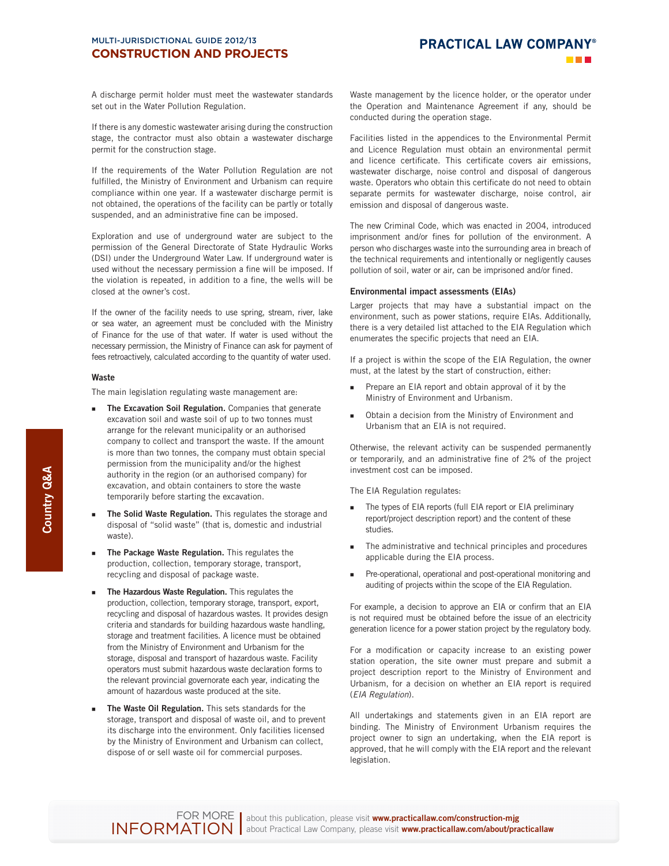# **PRACTICAL LAW COMPANY®**

A discharge permit holder must meet the wastewater standards set out in the Water Pollution Regulation.

If there is any domestic wastewater arising during the construction stage, the contractor must also obtain a wastewater discharge permit for the construction stage.

If the requirements of the Water Pollution Regulation are not fulfilled, the Ministry of Environment and Urbanism can require compliance within one year. If a wastewater discharge permit is not obtained, the operations of the facility can be partly or totally suspended, and an administrative fine can be imposed.

Exploration and use of underground water are subject to the permission of the General Directorate of State Hydraulic Works (DSI) under the Underground Water Law. If underground water is used without the necessary permission a fine will be imposed. If the violation is repeated, in addition to a fine, the wells will be closed at the owner's cost.

If the owner of the facility needs to use spring, stream, river, lake or sea water, an agreement must be concluded with the Ministry of Finance for the use of that water. If water is used without the necessary permission, the Ministry of Finance can ask for payment of fees retroactively, calculated according to the quantity of water used.

## **Waste**

The main legislation regulating waste management are:

- **The Excavation Soil Regulation.** Companies that generate excavation soil and waste soil of up to two tonnes must arrange for the relevant municipality or an authorised company to collect and transport the waste. If the amount is more than two tonnes, the company must obtain special permission from the municipality and/or the highest authority in the region (or an authorised company) for excavation, and obtain containers to store the waste temporarily before starting the excavation.
- **The Solid Waste Regulation.** This regulates the storage and disposal of "solid waste" (that is, domestic and industrial waste).
- **The Package Waste Regulation.** This regulates the production, collection, temporary storage, transport, recycling and disposal of package waste.
- **The Hazardous Waste Regulation.** This regulates the production, collection, temporary storage, transport, export, recycling and disposal of hazardous wastes. It provides design criteria and standards for building hazardous waste handling, storage and treatment facilities. A licence must be obtained from the Ministry of Environment and Urbanism for the storage, disposal and transport of hazardous waste. Facility operators must submit hazardous waste declaration forms to the relevant provincial governorate each year, indicating the amount of hazardous waste produced at the site.
- **The Waste Oil Regulation.** This sets standards for the storage, transport and disposal of waste oil, and to prevent its discharge into the environment. Only facilities licensed by the Ministry of Environment and Urbanism can collect, dispose of or sell waste oil for commercial purposes.

Waste management by the licence holder, or the operator under the Operation and Maintenance Agreement if any, should be conducted during the operation stage.

Facilities listed in the appendices to the Environmental Permit and Licence Regulation must obtain an environmental permit and licence certificate. This certificate covers air emissions, wastewater discharge, noise control and disposal of dangerous waste. Operators who obtain this certificate do not need to obtain separate permits for wastewater discharge, noise control, air emission and disposal of dangerous waste.

The new Criminal Code, which was enacted in 2004, introduced imprisonment and/or fines for pollution of the environment. A person who discharges waste into the surrounding area in breach of the technical requirements and intentionally or negligently causes pollution of soil, water or air, can be imprisoned and/or fined.

#### **Environmental impact assessments (EIAs)**

Larger projects that may have a substantial impact on the environment, such as power stations, require EIAs. Additionally, there is a very detailed list attached to the EIA Regulation which enumerates the specific projects that need an EIA.

If a project is within the scope of the EIA Regulation, the owner must, at the latest by the start of construction, either:

- **Prepare an EIA report and obtain approval of it by the** Ministry of Environment and Urbanism.
- Obtain a decision from the Ministry of Environment and Urbanism that an EIA is not required.

Otherwise, the relevant activity can be suspended permanently or temporarily, and an administrative fine of 2% of the project investment cost can be imposed.

The EIA Regulation regulates:

- The types of EIA reports (full EIA report or EIA preliminary report/project description report) and the content of these studies.
- The administrative and technical principles and procedures applicable during the EIA process.
- Pre-operational, operational and post-operational monitoring and auditing of projects within the scope of the EIA Regulation.

For example, a decision to approve an EIA or confirm that an EIA is not required must be obtained before the issue of an electricity generation licence for a power station project by the regulatory body.

For a modification or capacity increase to an existing power station operation, the site owner must prepare and submit a project description report to the Ministry of Environment and Urbanism, for a decision on whether an EIA report is required ( EIA Regulation).

All undertakings and statements given in an EIA report are binding. The Ministry of Environment Urbanism requires the project owner to sign an undertaking, when the EIA report is approved, that he will comply with the EIA report and the relevant legislation.



INFORMATION about this publication, please visit **www.practicallaw.com/construction-mjg** about Practical Law Company, please visit **www.practicallaw.com/about/practicallaw** FOR MORE | about this publication, please visit www.practicallaw.com/construction-mig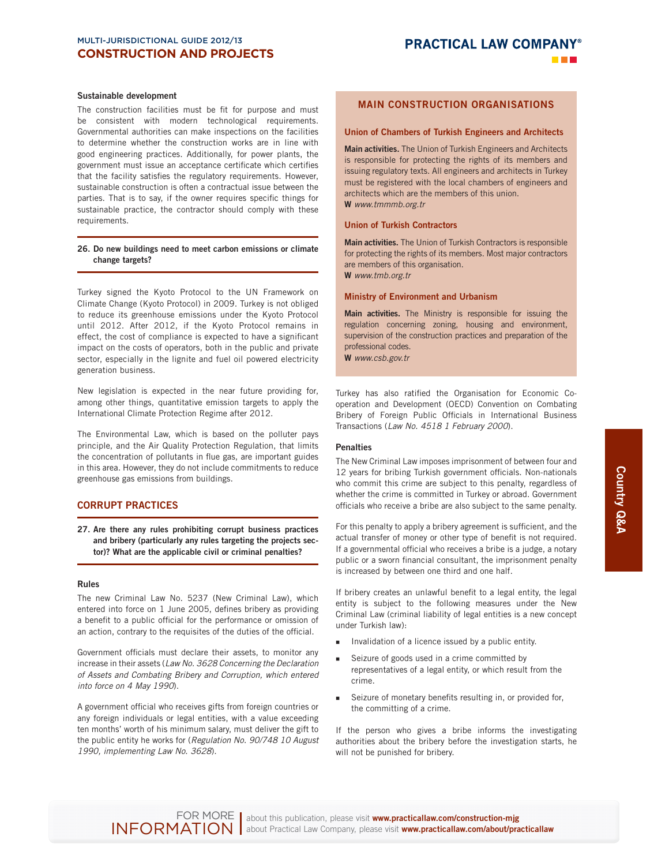#### **Sustainable development**

The construction facilities must be fit for purpose and must be consistent with modern technological requirements. Governmental authorities can make inspections on the facilities to determine whether the construction works are in line with good engineering practices. Additionally, for power plants, the government must issue an acceptance certificate which certifies that the facility satisfies the regulatory requirements. However, sustainable construction is often a contractual issue between the parties. That is to say, if the owner requires specific things for sustainable practice, the contractor should comply with these requirements.

## **26. Do new buildings need to meet carbon emissions or climate change targets?**

Turkey signed the Kyoto Protocol to the UN Framework on Climate Change (Kyoto Protocol) in 2009. Turkey is not obliged to reduce its greenhouse emissions under the Kyoto Protocol until 2012. After 2012, if the Kyoto Protocol remains in effect, the cost of compliance is expected to have a significant impact on the costs of operators, both in the public and private sector, especially in the lignite and fuel oil powered electricity generation business.

New legislation is expected in the near future providing for, among other things, quantitative emission targets to apply the International Climate Protection Regime after 2012.

The Environmental Law, which is based on the polluter pays principle, and the Air Quality Protection Regulation, that limits the concentration of pollutants in flue gas, are important guides in this area. However, they do not include commitments to reduce greenhouse gas emissions from buildings.

## **CORRUPT PRACTICES**

**27. Are there any rules prohibiting corrupt business practices and bribery (particularly any rules targeting the projects sector)? What are the applicable civil or criminal penalties?** 

## **Rules**

The new Criminal Law No. 5237 (New Criminal Law), which entered into force on 1 June 2005, defines bribery as providing a benefit to a public official for the performance or omission of an action, contrary to the requisites of the duties of the official.

Government officials must declare their assets, to monitor any increase in their assets (Law No. 3628 Concerning the Declaration of Assets and Combating Bribery and Corruption, which entered into force on 4 May 1990).

A government official who receives gifts from foreign countries or any foreign individuals or legal entities, with a value exceeding ten months' worth of his minimum salary, must deliver the gift to the public entity he works for (Regulation No. 90/748 10 August 1990, implementing Law No. 3628).

## **MAIN CONSTRUCTION ORGANISATIONS**

#### **Union of Chambers of Turkish Engineers and Architects**

**Main activities.** The Union of Turkish Engineers and Architects is responsible for protecting the rights of its members and issuing regulatory texts. All engineers and architects in Turkey must be registered with the local chambers of engineers and architects which are the members of this union. **W** www.tmmmb.org.tr

#### **Union of Turkish Contractors**

**Main activities.** The Union of Turkish Contractors is responsible for protecting the rights of its members. Most major contractors are members of this organisation. **W** www.tmb.org.tr

**Ministry of Environment and Urbanism**

## **Main activities.** The Ministry is responsible for issuing the

regulation concerning zoning, housing and environment, supervision of the construction practices and preparation of the professional codes.

**W** www.csb.gov.tr

Turkey has also ratified the Organisation for Economic Cooperation and Development (OECD) Convention on Combating Bribery of Foreign Public Officials in International Business Transactions (Law No. 4518 1 February 2000).

### **Penalties**

The New Criminal Law imposes imprisonment of between four and 12 years for bribing Turkish government officials. Non-nationals who commit this crime are subject to this penalty, regardless of whether the crime is committed in Turkey or abroad. Government officials who receive a bribe are also subject to the same penalty.

For this penalty to apply a bribery agreement is sufficient, and the actual transfer of money or other type of benefit is not required. If a governmental official who receives a bribe is a judge, a notary public or a sworn financial consultant, the imprisonment penalty is increased by between one third and one half.

If bribery creates an unlawful benefit to a legal entity, the legal entity is subject to the following measures under the New Criminal Law (criminal liability of legal entities is a new concept under Turkish law):

- Invalidation of a licence issued by a public entity.
- Seizure of goods used in a crime committed by representatives of a legal entity, or which result from the crime.
- Seizure of monetary benefits resulting in, or provided for, the committing of a crime.

If the person who gives a bribe informs the investigating authorities about the bribery before the investigation starts, he will not be punished for bribery.



INFORMATION about this publication, please visit **www.practicallaw.com/construction-mjg** about Practical Law Company, please visit **www.practicallaw.com/about/practicallaw** FOR MORE | about this publication, please visit www.practicallaw.com/construction-mig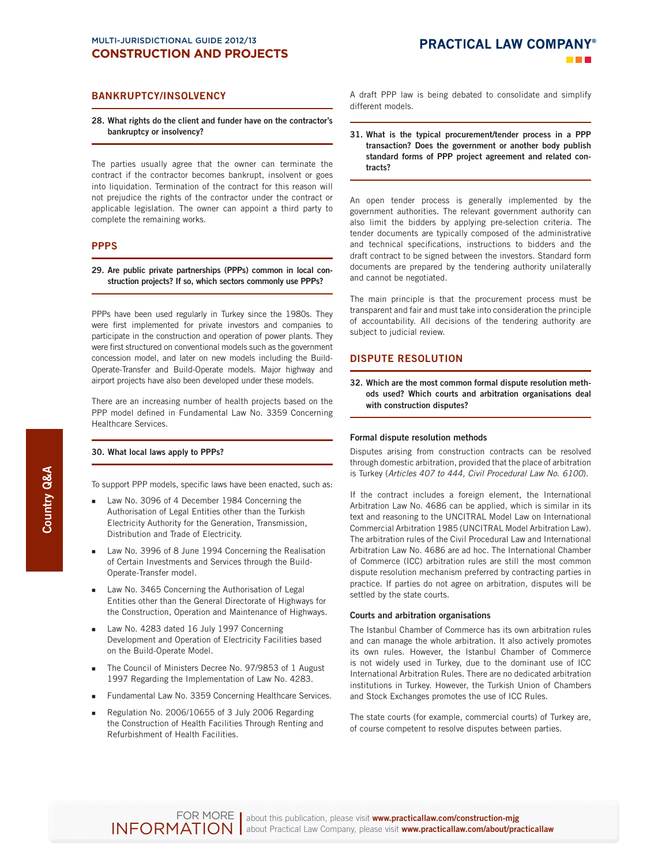## **BANKRUPTCY/INSOLVENCY**

#### **28. What rights do the client and funder have on the contractor's bankruptcy or insolvency?**

The parties usually agree that the owner can terminate the contract if the contractor becomes bankrupt, insolvent or goes into liquidation. Termination of the contract for this reason will not prejudice the rights of the contractor under the contract or applicable legislation. The owner can appoint a third party to complete the remaining works.

## **PPPS**

## **29. Are public private partnerships (PPPs) common in local construction projects? If so, which sectors commonly use PPPs?**

PPPs have been used regularly in Turkey since the 1980s. They were first implemented for private investors and companies to participate in the construction and operation of power plants. They were first structured on conventional models such as the government concession model, and later on new models including the Build-Operate-Transfer and Build-Operate models. Major highway and airport projects have also been developed under these models.

There are an increasing number of health projects based on the PPP model defined in Fundamental Law No. 3359 Concerning Healthcare Services.

#### **30. What local laws apply to PPPs?**

To support PPP models, specific laws have been enacted, such as:

- Law No. 3096 of 4 December 1984 Concerning the Authorisation of Legal Entities other than the Turkish Electricity Authority for the Generation, Transmission, Distribution and Trade of Electricity.
- Law No. 3996 of 8 June 1994 Concerning the Realisation of Certain Investments and Services through the Build-Operate-Transfer model.
- Law No. 3465 Concerning the Authorisation of Legal Entities other than the General Directorate of Highways for the Construction, Operation and Maintenance of Highways.
- Law No. 4283 dated 16 July 1997 Concerning Development and Operation of Electricity Facilities based on the Build-Operate Model.
- The Council of Ministers Decree No. 97/9853 of 1 August 1997 Regarding the Implementation of Law No. 4283.
- Fundamental Law No. 3359 Concerning Healthcare Services.
- Regulation No. 2006/10655 of 3 July 2006 Regarding the Construction of Health Facilities Through Renting and Refurbishment of Health Facilities.

A draft PPP law is being debated to consolidate and simplify different models.

**31. What is the typical procurement/tender process in a PPP transaction? Does the government or another body publish standard forms of PPP project agreement and related contracts?** 

An open tender process is generally implemented by the government authorities. The relevant government authority can also limit the bidders by applying pre-selection criteria. The tender documents are typically composed of the administrative and technical specifications, instructions to bidders and the draft contract to be signed between the investors. Standard form documents are prepared by the tendering authority unilaterally and cannot be negotiated.

The main principle is that the procurement process must be transparent and fair and must take into consideration the principle of accountability. All decisions of the tendering authority are subject to judicial review.

## **DISPUTE RESOLUTION**

**32. Which are the most common formal dispute resolution methods used? Which courts and arbitration organisations deal with construction disputes?** 

#### **Formal dispute resolution methods**

Disputes arising from construction contracts can be resolved through domestic arbitration, provided that the place of arbitration is Turkey ( Articles 407 to 444, Civil Procedural Law No. 6100).

If the contract includes a foreign element, the International Arbitration Law No. 4686 can be applied, which is similar in its text and reasoning to the UNCITRAL Model Law on International Commercial Arbitration 1985 (UNCITRAL Model Arbitration Law). The arbitration rules of the Civil Procedural Law and International Arbitration Law No. 4686 are ad hoc. The International Chamber of Commerce (ICC) arbitration rules are still the most common dispute resolution mechanism preferred by contracting parties in practice. If parties do not agree on arbitration, disputes will be settled by the state courts.

#### **Courts and arbitration organisations**

The Istanbul Chamber of Commerce has its own arbitration rules and can manage the whole arbitration. It also actively promotes its own rules. However, the Istanbul Chamber of Commerce is not widely used in Turkey, due to the dominant use of ICC International Arbitration Rules. There are no dedicated arbitration institutions in Turkey. However, the Turkish Union of Chambers and Stock Exchanges promotes the use of ICC Rules.

The state courts (for example, commercial courts) of Turkey are, of course competent to resolve disputes between parties.